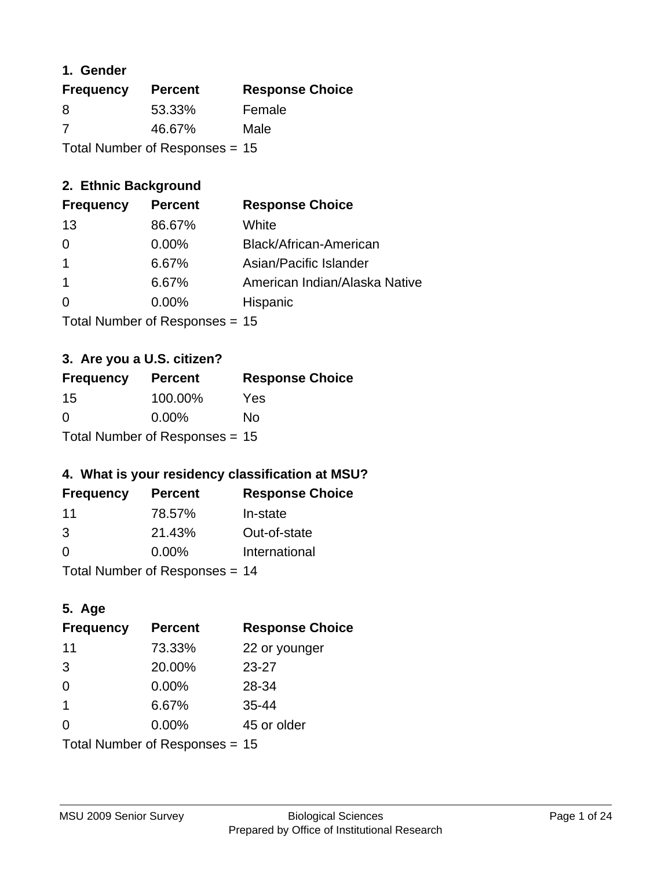### **1. Gender**

| <b>Frequency</b>                 | <b>Percent</b> | <b>Response Choice</b> |
|----------------------------------|----------------|------------------------|
| 8                                | 53.33%         | Female                 |
| 7                                | 46.67%         | Male                   |
| Total Number of Responses = $15$ |                |                        |

### **2. Ethnic Background**

| <b>Frequency</b> | <b>Percent</b> | <b>Response Choice</b>        |
|------------------|----------------|-------------------------------|
| 13               | 86.67%         | White                         |
| 0                | $0.00\%$       | Black/African-American        |
|                  | 6.67%          | Asian/Pacific Islander        |
|                  | 6.67%          | American Indian/Alaska Native |
| $\Omega$         | $0.00\%$       | Hispanic                      |
|                  |                |                               |

Total Number of Responses = 15

### **3. Are you a U.S. citizen?**

| <b>Frequency</b>                 | <b>Percent</b> | <b>Response Choice</b> |
|----------------------------------|----------------|------------------------|
| 15                               | 100.00%        | Yes                    |
| $\Omega$                         | $0.00\%$       | Nο                     |
| Total Number of Responses = $15$ |                |                        |

### **4. What is your residency classification at MSU?**

| <b>Frequency</b> | <b>Percent</b> | <b>Response Choice</b> |
|------------------|----------------|------------------------|
| -11              | 78.57%         | In-state               |
| 3                | 21.43%         | Out-of-state           |
| $\Omega$         | $0.00\%$       | International          |
|                  |                |                        |

Total Number of Responses = 14

### **5. Age**

| <b>Frequency</b>                 | <b>Percent</b> | <b>Response Choice</b> |
|----------------------------------|----------------|------------------------|
| 11                               | 73.33%         | 22 or younger          |
| 3                                | 20.00%         | $23 - 27$              |
| $\Omega$                         | 0.00%          | 28-34                  |
| $\mathbf{1}$                     | 6.67%          | $35 - 44$              |
| 0                                | 0.00%          | 45 or older            |
| Total Number of Responses $= 15$ |                |                        |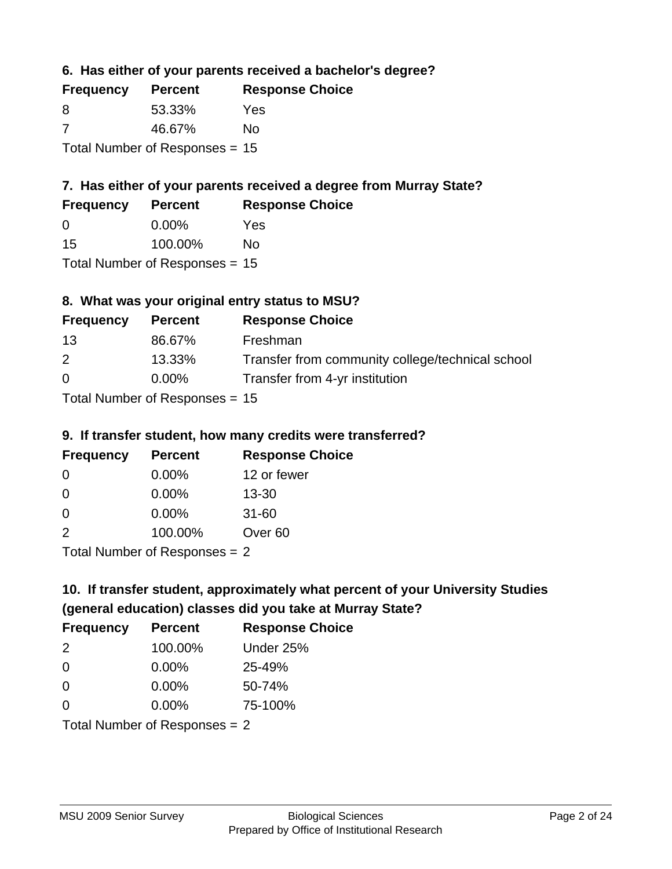**6. Has either of your parents received a bachelor's degree?**

| <b>Frequency</b>                 | <b>Percent</b> | <b>Response Choice</b> |
|----------------------------------|----------------|------------------------|
| 8                                | 53.33%         | Yes                    |
| -7                               | 46.67%         | Nο                     |
| Total Number of Responses = $15$ |                |                        |

### **7. Has either of your parents received a degree from Murray State?**

| <b>Frequency</b> | <b>Percent</b>               | <b>Response Choice</b> |
|------------------|------------------------------|------------------------|
| $\Omega$         | $0.00\%$                     | Yes                    |
| 15               | 100.00%                      | No                     |
|                  | $\tau$ . The state of $\sim$ |                        |

Total Number of Responses = 15

### **8. What was your original entry status to MSU?**

| <b>Frequency</b>                 | <b>Percent</b> | <b>Response Choice</b>                           |
|----------------------------------|----------------|--------------------------------------------------|
| 13                               | 86.67%         | Freshman                                         |
| 2                                | 13.33%         | Transfer from community college/technical school |
| $\Omega$                         | $0.00\%$       | Transfer from 4-yr institution                   |
| $Total Number of Doononoog = 4F$ |                |                                                  |

Total Number of Responses = 15

#### **9. If transfer student, how many credits were transferred?**

| <b>Frequency</b>            | <b>Percent</b> | <b>Response Choice</b> |
|-----------------------------|----------------|------------------------|
| -0                          | $0.00\%$       | 12 or fewer            |
| 0                           | $0.00\%$       | $13 - 30$              |
| 0                           | 0.00%          | $31 - 60$              |
| $\mathcal{P}$               | 100.00%        | Over <sub>60</sub>     |
| Total Number of Despanses 2 |                |                        |

Total Number of Responses = 2

## **10. If transfer student, approximately what percent of your University Studies (general education) classes did you take at Murray State?**

| <b>Frequency</b>                | <b>Percent</b> | <b>Response Choice</b> |
|---------------------------------|----------------|------------------------|
| 2                               | 100.00%        | Under 25%              |
| $\Omega$                        | $0.00\%$       | 25-49%                 |
| $\Omega$                        | $0.00\%$       | 50-74%                 |
| $\Omega$                        | $0.00\%$       | 75-100%                |
| Total Number of Responses $= 2$ |                |                        |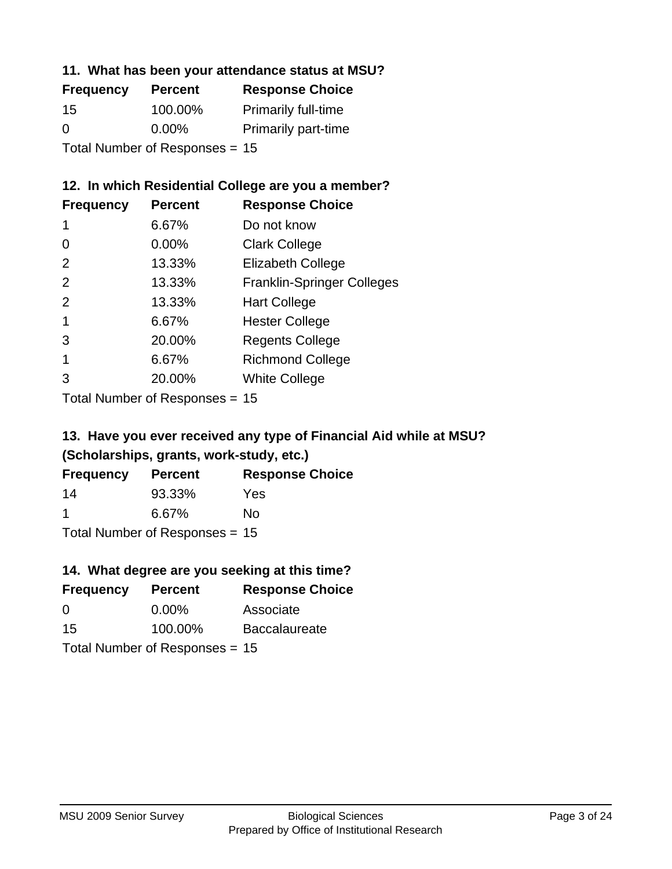#### **11. What has been your attendance status at MSU?**

| <b>Frequency</b>               | <b>Percent</b> | <b>Response Choice</b>     |
|--------------------------------|----------------|----------------------------|
| 15                             | 100.00%        | <b>Primarily full-time</b> |
| 0                              | $0.00\%$       | <b>Primarily part-time</b> |
| Total Number of Responses = 15 |                |                            |

### **12. In which Residential College are you a member?**

| <b>Frequency</b> | <b>Percent</b> | <b>Response Choice</b>            |
|------------------|----------------|-----------------------------------|
| 1                | 6.67%          | Do not know                       |
| 0                | 0.00%          | <b>Clark College</b>              |
| $\mathcal{P}$    | 13.33%         | <b>Elizabeth College</b>          |
| $\mathcal{P}$    | 13.33%         | <b>Franklin-Springer Colleges</b> |
| 2                | 13.33%         | <b>Hart College</b>               |
| 1                | 6.67%          | <b>Hester College</b>             |
| 3                | 20.00%         | <b>Regents College</b>            |
|                  | 6.67%          | <b>Richmond College</b>           |
|                  | 20.00%         | <b>White College</b>              |
|                  |                |                                   |

Total Number of Responses = 15

### **13. Have you ever received any type of Financial Aid while at MSU? (Scholarships, grants, work-study, etc.)**

| <b>Frequency</b> | <b>Percent</b>             | <b>Response Choice</b> |
|------------------|----------------------------|------------------------|
| 14               | 93.33%                     | Yes                    |
| -1               | 6.67%                      | No                     |
|                  | Tatal Number of Desperance |                        |

Total Number of Responses = 15

### **14. What degree are you seeking at this time?**

| <b>Frequency</b> | <b>Percent</b>                   | <b>Response Choice</b> |
|------------------|----------------------------------|------------------------|
| 0                | $0.00\%$                         | Associate              |
| 15               | 100.00%                          | <b>Baccalaureate</b>   |
|                  | Total Number of Responses = $15$ |                        |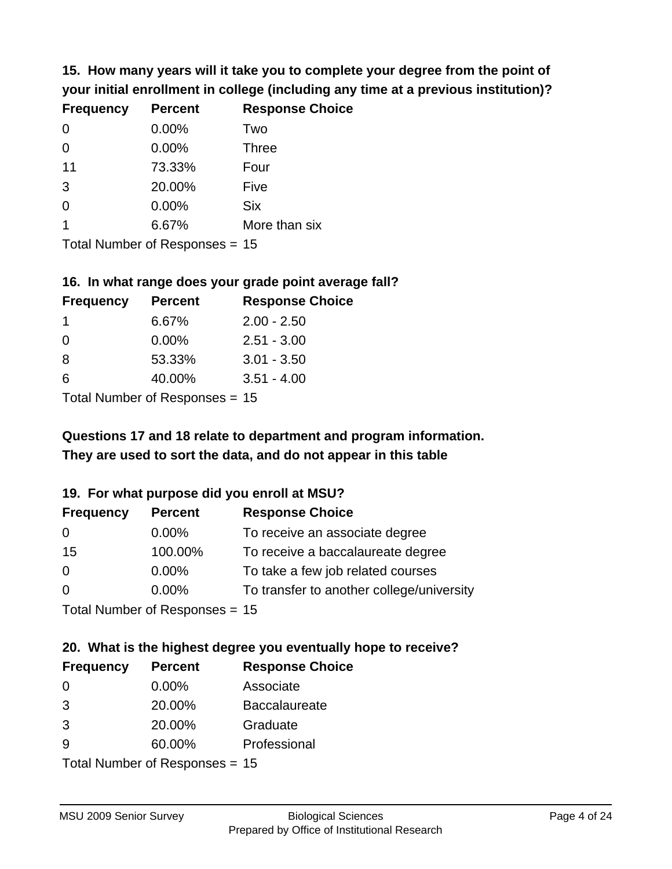**15. How many years will it take you to complete your degree from the point of your initial enrollment in college (including any time at a previous institution)?**

| <b>Frequency</b> | <b>Percent</b> | <b>Response Choice</b> |
|------------------|----------------|------------------------|
| $\Omega$         | 0.00%          | Two                    |
| $\Omega$         | 0.00%          | <b>Three</b>           |
| 11               | 73.33%         | Four                   |
| 3                | 20.00%         | Five                   |
| 0                | 0.00%          | <b>Six</b>             |
|                  | 6.67%          | More than six          |
|                  |                |                        |

Total Number of Responses = 15

#### **16. In what range does your grade point average fall?**

| <b>Frequency</b> | <b>Percent</b>               | <b>Response Choice</b> |
|------------------|------------------------------|------------------------|
|                  | 6.67%                        | $2.00 - 2.50$          |
| 0                | 0.00%                        | $2.51 - 3.00$          |
| -8               | 53.33%                       | $3.01 - 3.50$          |
| 6                | 40.00%                       | $3.51 - 4.00$          |
|                  | $\tau$ . The state of $\sim$ |                        |

Total Number of Responses = 15

### **They are used to sort the data, and do not appear in this table Questions 17 and 18 relate to department and program information.**

#### **19. For what purpose did you enroll at MSU?**

| <b>Frequency</b>               | <b>Percent</b> | <b>Response Choice</b>                    |
|--------------------------------|----------------|-------------------------------------------|
| 0                              | $0.00\%$       | To receive an associate degree            |
| 15                             | 100.00%        | To receive a baccalaureate degree         |
| 0                              | $0.00\%$       | To take a few job related courses         |
| $\Omega$                       | $0.00\%$       | To transfer to another college/university |
| Total Number of Responses - 15 |                |                                           |

Total Number of Responses = 15

# **20. What is the highest degree you eventually hope to receive?**

| <b>Frequency</b>          | <b>Percent</b> | <b>Response Choice</b> |
|---------------------------|----------------|------------------------|
| 0                         | $0.00\%$       | Associate              |
| 3                         | 20.00%         | <b>Baccalaureate</b>   |
| 3                         | 20.00%         | Graduate               |
| 9                         | 60.00%         | Professional           |
| Total Number of Despanses |                |                        |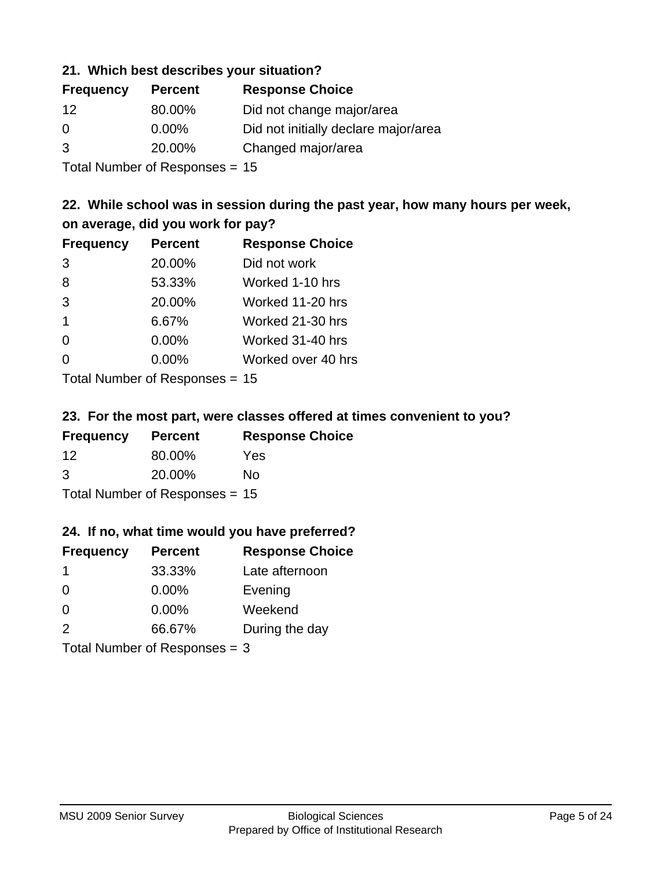#### **21. Which best describes your situation?**

| <b>Frequency</b> | <b>Percent</b> | <b>Response Choice</b>               |
|------------------|----------------|--------------------------------------|
| 12               | 80.00%         | Did not change major/area            |
| $\Omega$         | $0.00\%$       | Did not initially declare major/area |
| 3                | 20.00%         | Changed major/area                   |
|                  |                |                                      |

Total Number of Responses = 15

### **22. While school was in session during the past year, how many hours per week, on average, did you work for pay?**

| <b>Frequency</b> | <b>Percent</b> | <b>Response Choice</b> |
|------------------|----------------|------------------------|
| 3                | 20.00%         | Did not work           |
| 8                | 53.33%         | Worked 1-10 hrs        |
| 3                | 20.00%         | Worked 11-20 hrs       |
| $\overline{1}$   | 6.67%          | Worked 21-30 hrs       |
| $\Omega$         | 0.00%          | Worked 31-40 hrs       |
| 0                | 0.00%          | Worked over 40 hrs     |
|                  |                |                        |

Total Number of Responses = 15

#### **23. For the most part, were classes offered at times convenient to you?**

| <b>Frequency</b> | <b>Percent</b>                 | <b>Response Choice</b> |
|------------------|--------------------------------|------------------------|
| 12               | 80.00%                         | <b>Yes</b>             |
| 3                | 20.00%                         | No.                    |
|                  | Total Number of Responses = 15 |                        |

#### **24. If no, what time would you have preferred?**

| <b>Frequency</b>                | <b>Percent</b> | <b>Response Choice</b> |
|---------------------------------|----------------|------------------------|
| -1                              | 33.33%         | Late afternoon         |
| $\Omega$                        | $0.00\%$       | Evening                |
| $\Omega$                        | 0.00%          | Weekend                |
| 2                               | 66.67%         | During the day         |
| Total Number of Responses = $3$ |                |                        |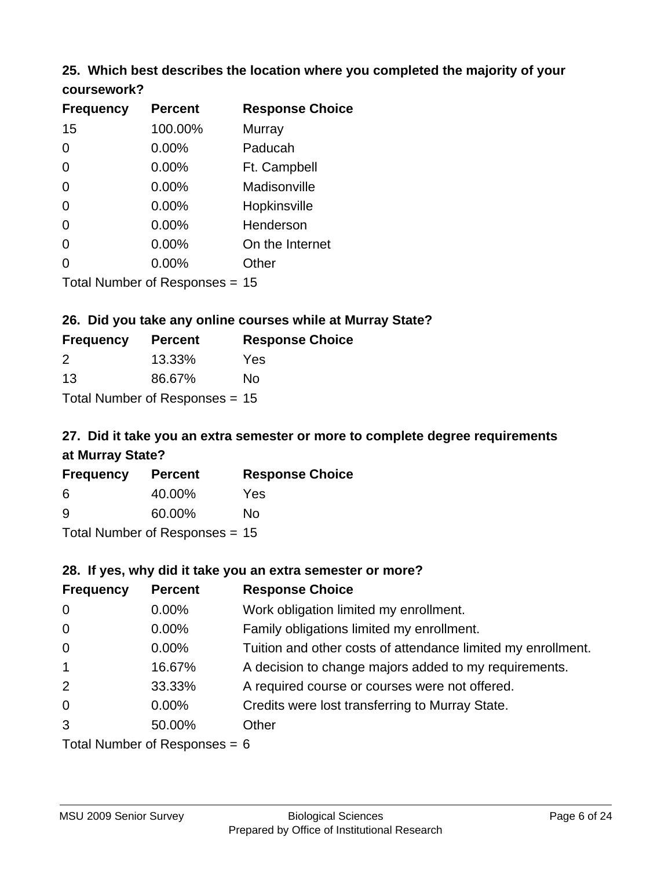# **25. Which best describes the location where you completed the majority of your**

| coursework? |
|-------------|
|-------------|

| <b>Frequency</b> | <b>Percent</b>                   | <b>Response Choice</b> |
|------------------|----------------------------------|------------------------|
| 15               | 100.00%                          | Murray                 |
| 0                | 0.00%                            | Paducah                |
| 0                | 0.00%                            | Ft. Campbell           |
| $\overline{0}$   | 0.00%                            | Madisonville           |
| 0                | 0.00%                            | Hopkinsville           |
| 0                | $0.00\%$                         | Henderson              |
| 0                | 0.00%                            | On the Internet        |
| 0                | $0.00\%$                         | Other                  |
|                  | Total Number of Responses $= 15$ |                        |

### **26. Did you take any online courses while at Murray State?**

| <b>Frequency</b> | <b>Percent</b>                 | <b>Response</b> |
|------------------|--------------------------------|-----------------|
| $\mathcal{P}$    | 13.33%                         | Yes             |
| 13               | 86.67%                         | No.             |
|                  | Total Number of Responses = 15 |                 |

### **27. Did it take you an extra semester or more to complete degree requirements at Murray State?**

**Choice** 

| <b>Frequency</b> | <b>Percent</b>                   | <b>Response Choice</b> |
|------------------|----------------------------------|------------------------|
| 6                | 40.00%                           | Yes                    |
| <u>g</u>         | 60.00%                           | No                     |
|                  | Total Number of Responses = $15$ |                        |

#### **28. If yes, why did it take you an extra semester or more?**

| <b>Frequency</b>                | <b>Percent</b> | <b>Response Choice</b>                                       |  |  |
|---------------------------------|----------------|--------------------------------------------------------------|--|--|
| $\overline{0}$                  | $0.00\%$       | Work obligation limited my enrollment.                       |  |  |
| $\overline{0}$                  | $0.00\%$       | Family obligations limited my enrollment.                    |  |  |
| $\mathbf 0$                     | $0.00\%$       | Tuition and other costs of attendance limited my enrollment. |  |  |
| $\mathbf{1}$                    | 16.67%         | A decision to change majors added to my requirements.        |  |  |
| 2                               | 33.33%         | A required course or courses were not offered.               |  |  |
| $\overline{0}$                  | $0.00\%$       | Credits were lost transferring to Murray State.              |  |  |
| 3                               | 50.00%         | Other                                                        |  |  |
| Total Number of Responses = $6$ |                |                                                              |  |  |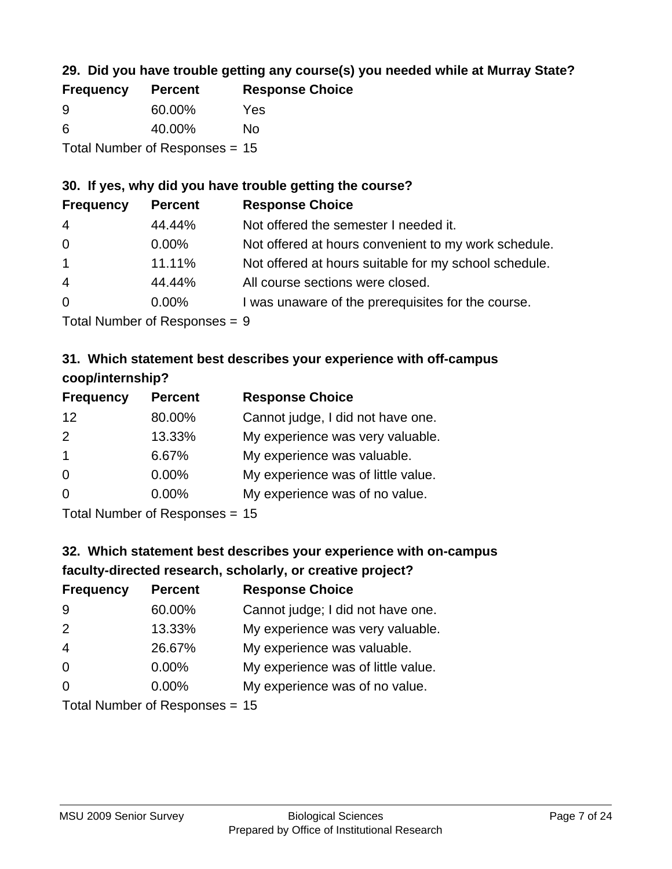### **29. Did you have trouble getting any course(s) you needed while at Murray State?**

| <b>Frequency</b> | <b>Percent</b>                   | <b>Response Choice</b> |
|------------------|----------------------------------|------------------------|
| -9               | 60.00%                           | Yes                    |
| -6               | 40.00%                           | Nο                     |
|                  | Total Number of Responses = $15$ |                        |

### **30. If yes, why did you have trouble getting the course?**

| <b>Frequency</b> | <b>Percent</b> | <b>Response Choice</b>                                |
|------------------|----------------|-------------------------------------------------------|
| $\overline{4}$   | 44.44%         | Not offered the semester I needed it.                 |
| $\overline{0}$   | $0.00\%$       | Not offered at hours convenient to my work schedule.  |
| $\overline{1}$   | 11.11%         | Not offered at hours suitable for my school schedule. |
| $\overline{4}$   | 44.44%         | All course sections were closed.                      |
| $\overline{0}$   | $0.00\%$       | I was unaware of the prerequisites for the course.    |
|                  |                |                                                       |

Total Number of Responses = 9

### **31. Which statement best describes your experience with off-campus coop/internship?**

| <b>Frequency</b>  | <b>Percent</b>                                                                     | <b>Response Choice</b>             |
|-------------------|------------------------------------------------------------------------------------|------------------------------------|
| $12 \overline{ }$ | 80.00%                                                                             | Cannot judge, I did not have one.  |
| 2                 | 13.33%                                                                             | My experience was very valuable.   |
| $\overline{1}$    | 6.67%                                                                              | My experience was valuable.        |
| $\Omega$          | $0.00\%$                                                                           | My experience was of little value. |
| $\Omega$          | $0.00\%$                                                                           | My experience was of no value.     |
|                   | $T$ at all $\lambda$ becomes the set $\mathbf{D}$ are a second set of $\mathbf{D}$ |                                    |

Total Number of Responses = 15

# **32. Which statement best describes your experience with on-campus faculty-directed research, scholarly, or creative project?**

| <b>Frequency</b> | <b>Percent</b>             | <b>Response Choice</b>             |
|------------------|----------------------------|------------------------------------|
| 9                | 60.00%                     | Cannot judge; I did not have one.  |
| 2                | 13.33%                     | My experience was very valuable.   |
| $\overline{4}$   | 26.67%                     | My experience was valuable.        |
| $\overline{0}$   | $0.00\%$                   | My experience was of little value. |
| $\Omega$         | 0.00%                      | My experience was of no value.     |
|                  | Tatal Number of Desperance |                                    |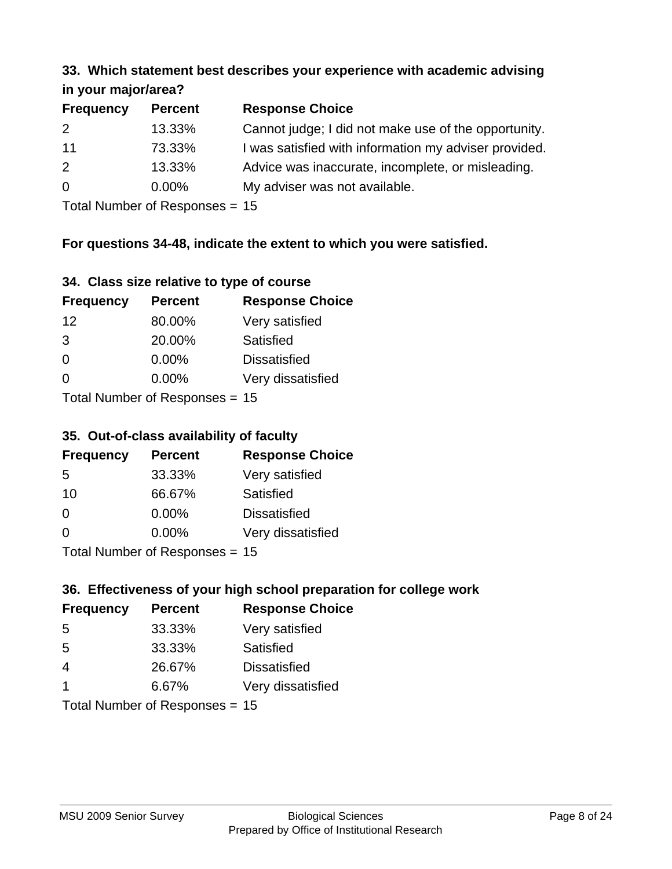#### **33. Which statement best describes your experience with academic advising in your major/area?**

| 111, 122, 111, 112, 121, 121, 131 |                |                                                       |
|-----------------------------------|----------------|-------------------------------------------------------|
| <b>Frequency</b>                  | <b>Percent</b> | <b>Response Choice</b>                                |
| 2                                 | 13.33%         | Cannot judge; I did not make use of the opportunity.  |
| 11                                | 73.33%         | I was satisfied with information my adviser provided. |
| 2                                 | 13.33%         | Advice was inaccurate, incomplete, or misleading.     |
| $\overline{0}$                    | $0.00\%$       | My adviser was not available.                         |
|                                   |                |                                                       |

Total Number of Responses = 15

### **For questions 34-48, indicate the extent to which you were satisfied.**

| 34. Class size relative to type of course |  |  |  |  |  |  |  |  |
|-------------------------------------------|--|--|--|--|--|--|--|--|
|-------------------------------------------|--|--|--|--|--|--|--|--|

| <b>Frequency</b> | <b>Percent</b>                   | <b>Response Choice</b> |
|------------------|----------------------------------|------------------------|
| 12               | 80.00%                           | Very satisfied         |
| 3                | 20.00%                           | Satisfied              |
| $\Omega$         | $0.00\%$                         | <b>Dissatisfied</b>    |
| $\Omega$         | 0.00%                            | Very dissatisfied      |
|                  | Total Number of Responses $= 15$ |                        |

Total Number of Responses = 15

#### **35. Out-of-class availability of faculty**

| <b>Frequency</b> | <b>Percent</b>                   | <b>Response Choice</b> |
|------------------|----------------------------------|------------------------|
| 5                | 33.33%                           | Very satisfied         |
| 10               | 66.67%                           | Satisfied              |
| $\Omega$         | $0.00\%$                         | <b>Dissatisfied</b>    |
| $\Omega$         | $0.00\%$                         | Very dissatisfied      |
|                  | $Total Number of Doepopose = 45$ |                        |

Total Number of Responses = 15

### **36. Effectiveness of your high school preparation for college work**

| <b>Frequency</b>               | <b>Percent</b> | <b>Response Choice</b> |  |  |
|--------------------------------|----------------|------------------------|--|--|
| 5                              | 33.33%         | Very satisfied         |  |  |
| 5                              | 33.33%         | Satisfied              |  |  |
| $\overline{4}$                 | 26.67%         | <b>Dissatisfied</b>    |  |  |
| $\overline{\mathbf{1}}$        | 6.67%          | Very dissatisfied      |  |  |
| Total Number of Responses = 15 |                |                        |  |  |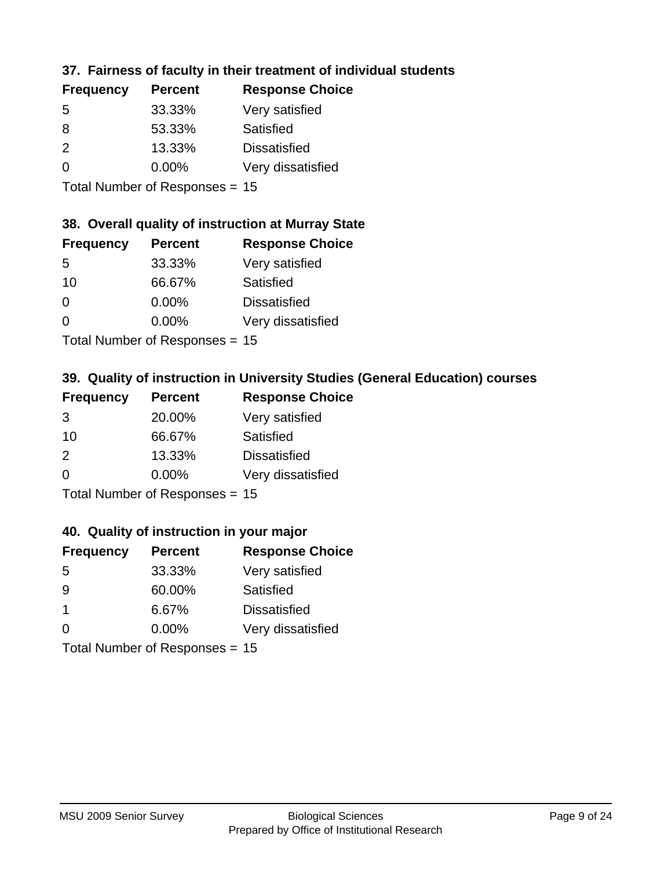### **37. Fairness of faculty in their treatment of individual students**

| <b>Frequency</b> | <b>Percent</b> | <b>Response Choice</b> |
|------------------|----------------|------------------------|
| 5                | 33.33%         | Very satisfied         |
| 8                | 53.33%         | Satisfied              |
| $\mathcal{P}$    | 13.33%         | <b>Dissatisfied</b>    |
| $\Omega$         | 0.00%          | Very dissatisfied      |
|                  |                |                        |

Total Number of Responses = 15

#### **38. Overall quality of instruction at Murray State**

| <b>Frequency</b> | <b>Percent</b> | <b>Response Choice</b> |
|------------------|----------------|------------------------|
| .5               | 33.33%         | Very satisfied         |
| 10               | 66.67%         | Satisfied              |
| $\Omega$         | 0.00%          | <b>Dissatisfied</b>    |
| $\Omega$         | 0.00%          | Very dissatisfied      |
|                  |                |                        |

Total Number of Responses = 15

### **39. Quality of instruction in University Studies (General Education) courses**

| <b>Frequency</b> | <b>Percent</b>                  | <b>Response Choice</b> |
|------------------|---------------------------------|------------------------|
| 3                | 20.00%                          | Very satisfied         |
| 10               | 66.67%                          | Satisfied              |
| $\mathcal{P}$    | 13.33%                          | <b>Dissatisfied</b>    |
| $\Omega$         | 0.00%                           | Very dissatisfied      |
|                  | $Total Number of Doonono0 = 4F$ |                        |

Total Number of Responses = 15

#### **40. Quality of instruction in your major**

| <b>Frequency</b> | <b>Percent</b>             | <b>Response Choice</b> |
|------------------|----------------------------|------------------------|
| .5               | 33.33%                     | Very satisfied         |
| 9                | 60.00%                     | Satisfied              |
| $\mathbf 1$      | 6.67%                      | <b>Dissatisfied</b>    |
| $\Omega$         | 0.00%                      | Very dissatisfied      |
|                  | Tatal Number of Desperance |                        |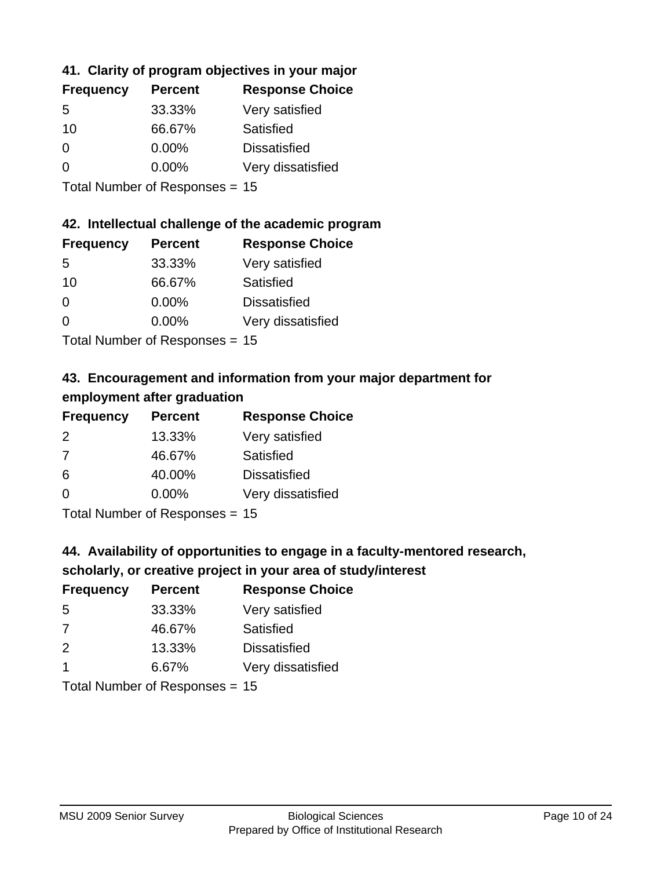### **41. Clarity of program objectives in your major**

| <b>Frequency</b> | <b>Percent</b> | <b>Response Choice</b> |
|------------------|----------------|------------------------|
| .5               | 33.33%         | Very satisfied         |
| 10               | 66.67%         | Satisfied              |
| $\Omega$         | 0.00%          | <b>Dissatisfied</b>    |
| $\Omega$         | 0.00%          | Very dissatisfied      |
|                  |                |                        |

Total Number of Responses = 15

#### **42. Intellectual challenge of the academic program**

| <b>Frequency</b> | <b>Percent</b> | <b>Response Choice</b> |
|------------------|----------------|------------------------|
| .5               | 33.33%         | Very satisfied         |
| 10               | 66.67%         | Satisfied              |
| $\Omega$         | $0.00\%$       | <b>Dissatisfied</b>    |
| ∩                | 0.00%          | Very dissatisfied      |
|                  |                |                        |

Total Number of Responses = 15

### **43. Encouragement and information from your major department for employment after graduation**

| <b>Frequency</b> | <b>Percent</b>             | <b>Response Choice</b> |
|------------------|----------------------------|------------------------|
| 2                | 13.33%                     | Very satisfied         |
| 7                | 46.67%                     | Satisfied              |
| 6                | 40.00%                     | <b>Dissatisfied</b>    |
| 0                | $0.00\%$                   | Very dissatisfied      |
|                  | Tatal Number of Desperance |                        |

Total Number of Responses = 15

### **44. Availability of opportunities to engage in a faculty-mentored research,**

### **scholarly, or creative project in your area of study/interest**

| <b>Frequency</b> | <b>Percent</b> | <b>Response Choice</b> |
|------------------|----------------|------------------------|
| .5               | 33.33%         | Very satisfied         |
| 7                | 46.67%         | Satisfied              |
| $\mathcal{P}$    | 13.33%         | <b>Dissatisfied</b>    |
|                  | 6.67%          | Very dissatisfied      |
|                  |                |                        |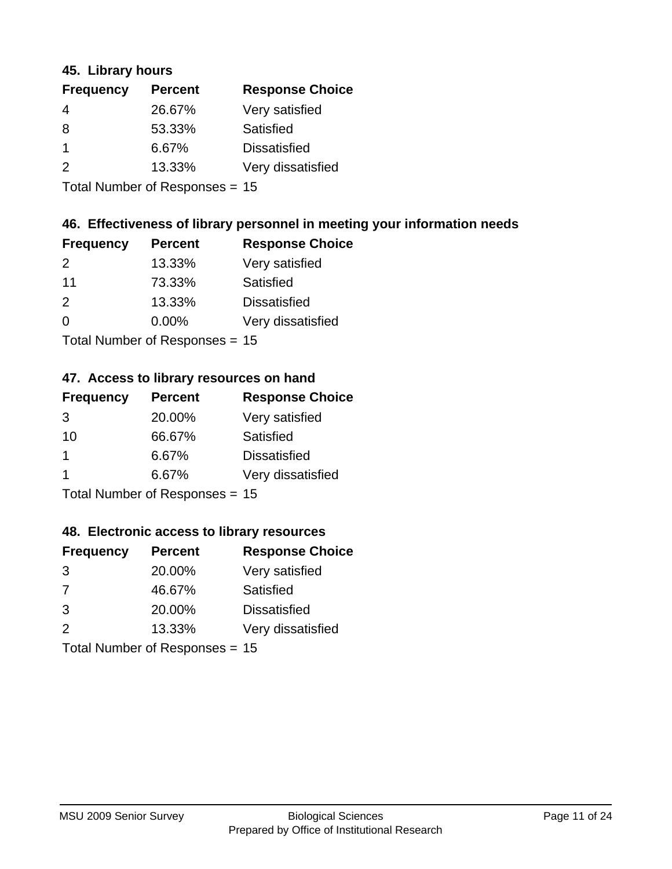#### **45. Library hours**

| <b>Frequency</b> | <b>Percent</b> | <b>Response Choice</b> |
|------------------|----------------|------------------------|
| 4                | 26.67%         | Very satisfied         |
| 8                | 53.33%         | Satisfied              |
| $\mathbf 1$      | 6.67%          | <b>Dissatisfied</b>    |
| 2                | 13.33%         | Very dissatisfied      |
|                  |                |                        |

Total Number of Responses = 15

### **46. Effectiveness of library personnel in meeting your information needs**

| <b>Frequency</b> | <b>Percent</b> | <b>Response Choice</b> |
|------------------|----------------|------------------------|
| $\mathcal{P}$    | 13.33%         | Very satisfied         |
| 11               | 73.33%         | Satisfied              |
| $\mathcal{P}$    | 13.33%         | <b>Dissatisfied</b>    |
| $\Omega$         | 0.00%          | Very dissatisfied      |
|                  |                |                        |

Total Number of Responses = 15

#### **47. Access to library resources on hand**

| <b>Frequency</b> | <b>Percent</b>            | <b>Response Choice</b> |
|------------------|---------------------------|------------------------|
| 3                | 20.00%                    | Very satisfied         |
| 10               | 66.67%                    | Satisfied              |
| 1                | 6.67%                     | <b>Dissatisfied</b>    |
|                  | 6.67%                     | Very dissatisfied      |
|                  | Total Number of Desponses |                        |

Total Number of Responses = 15

#### **48. Electronic access to library resources**

| <b>Frequency</b> | <b>Percent</b>                 | <b>Response Choice</b> |
|------------------|--------------------------------|------------------------|
| 3                | 20.00%                         | Very satisfied         |
| 7                | 46.67%                         | Satisfied              |
| 3                | 20.00%                         | <b>Dissatisfied</b>    |
| $\mathcal{P}$    | 13.33%                         | Very dissatisfied      |
|                  | Total Number of Responses = 15 |                        |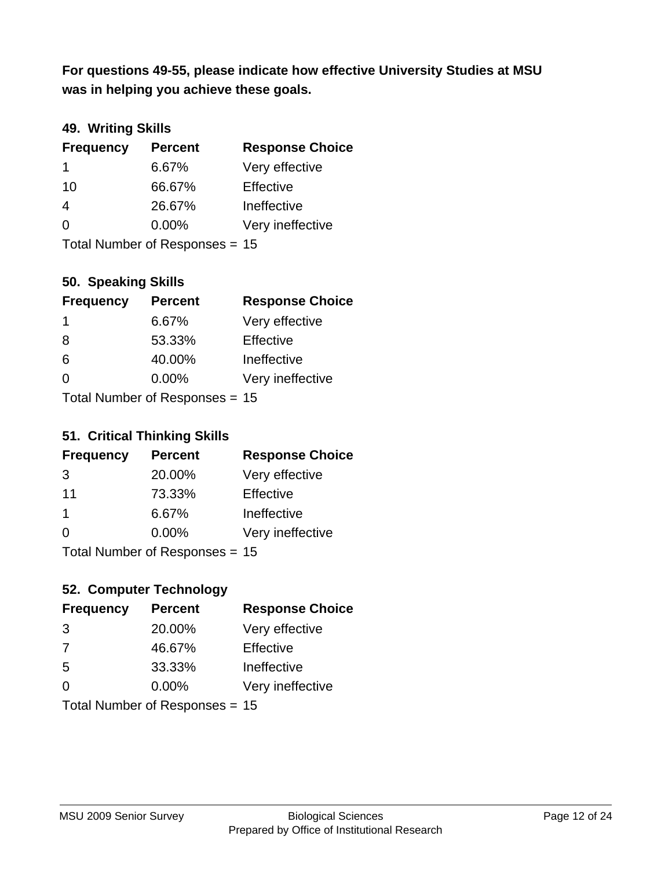**was in helping you achieve these goals. For questions 49-55, please indicate how effective University Studies at MSU** 

#### **49. Writing Skills**

| <b>Frequency</b> | <b>Percent</b>                 | <b>Response Choice</b> |
|------------------|--------------------------------|------------------------|
| 1                | 6.67%                          | Very effective         |
| 10               | 66.67%                         | Effective              |
| 4                | 26.67%                         | Ineffective            |
| $\Omega$         | $0.00\%$                       | Very ineffective       |
|                  | Total Number of Responses = 15 |                        |

#### **50. Speaking Skills**

| <b>Frequency</b> | <b>Percent</b>                 | <b>Response Choice</b> |
|------------------|--------------------------------|------------------------|
| -1               | 6.67%                          | Very effective         |
| 8                | 53.33%                         | Effective              |
| 6                | 40.00%                         | Ineffective            |
| $\Omega$         | 0.00%                          | Very ineffective       |
|                  | Total Number of Recnonces - 15 |                        |

Total Number of Responses = 15

#### **51. Critical Thinking Skills**

| <b>Frequency</b> | <b>Percent</b>            | <b>Response Choice</b> |
|------------------|---------------------------|------------------------|
| 3                | 20.00%                    | Very effective         |
| 11               | 73.33%                    | Effective              |
| -1               | 6.67%                     | Ineffective            |
| $\Omega$         | 0.00%                     | Very ineffective       |
|                  | Total Number of DoEROR 0. |                        |

Total Number of Responses = 15

### **52. Computer Technology**

| <b>Frequency</b> | <b>Percent</b>                 | <b>Response Choice</b> |
|------------------|--------------------------------|------------------------|
| 3                | 20.00%                         | Very effective         |
| 7                | 46.67%                         | Effective              |
| 5                | 33.33%                         | Ineffective            |
| $\Omega$         | $0.00\%$                       | Very ineffective       |
|                  | Total Number of Responses = 15 |                        |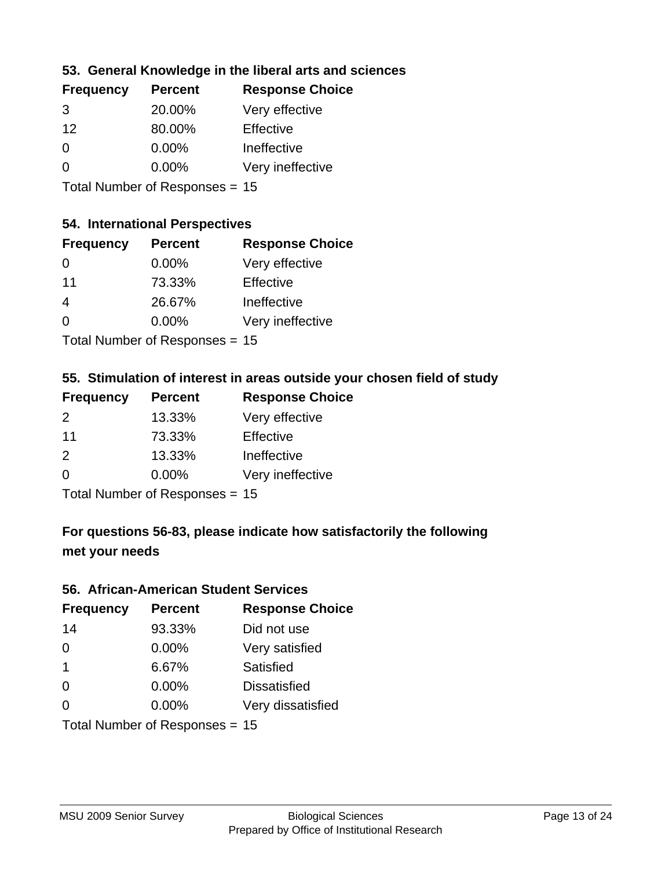### **53. General Knowledge in the liberal arts and sciences**

| <b>Frequency</b> | <b>Percent</b> | <b>Response Choice</b> |
|------------------|----------------|------------------------|
| 3                | 20.00%         | Very effective         |
| 12               | 80.00%         | Effective              |
| $\Omega$         | 0.00%          | Ineffective            |
| $\Omega$         | 0.00%          | Very ineffective       |
|                  |                |                        |

Total Number of Responses = 15

### **54. International Perspectives**

| <b>Frequency</b> | <b>Percent</b>             | <b>Response Choice</b> |
|------------------|----------------------------|------------------------|
| 0                | 0.00%                      | Very effective         |
| 11               | 73.33%                     | Effective              |
| 4                | 26.67%                     | Ineffective            |
| 0                | 0.00%                      | Very ineffective       |
|                  | Tatal Manakan af Dagmanage |                        |

Total Number of Responses = 15

### **55. Stimulation of interest in areas outside your chosen field of study**

| <b>Frequency</b> | <b>Percent</b>                 | <b>Response Choice</b> |
|------------------|--------------------------------|------------------------|
| $\mathcal{P}$    | 13.33%                         | Very effective         |
| 11               | 73.33%                         | Effective              |
| 2                | 13.33%                         | Ineffective            |
| $\Omega$         | $0.00\%$                       | Very ineffective       |
|                  | Total Number of Responses = 15 |                        |

### **For questions 56-83, please indicate how satisfactorily the following met your needs**

#### **56. African-American Student Services**

| <b>Frequency</b> | <b>Percent</b>                 | <b>Response Choice</b> |
|------------------|--------------------------------|------------------------|
| 14               | 93.33%                         | Did not use            |
| $\Omega$         | 0.00%                          | Very satisfied         |
| $\overline{1}$   | 6.67%                          | Satisfied              |
| $\Omega$         | $0.00\%$                       | <b>Dissatisfied</b>    |
| $\Omega$         | 0.00%                          | Very dissatisfied      |
|                  | Total Number of Responses = 15 |                        |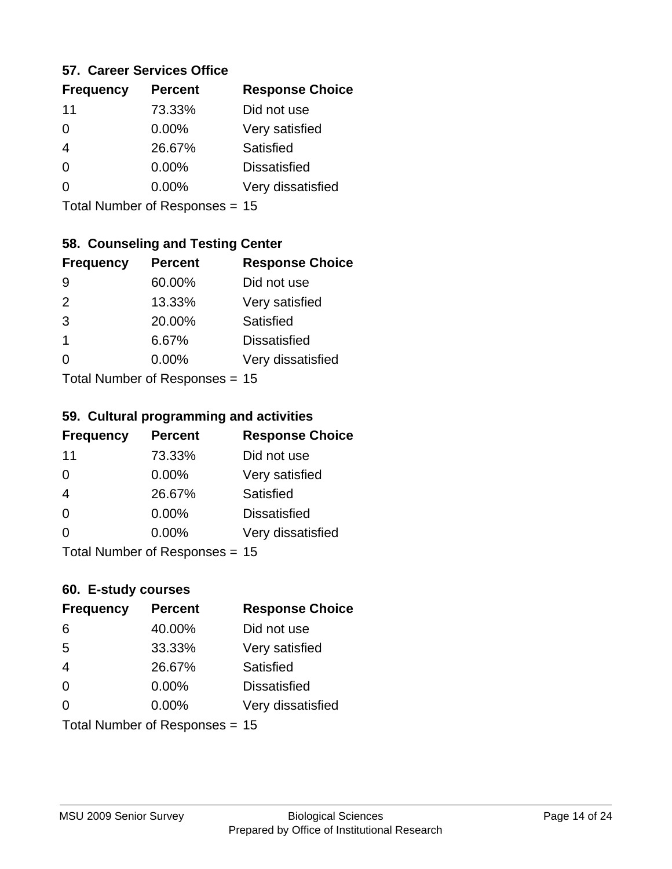#### **57. Career Services Office**

| <b>Frequency</b> | <b>Percent</b> | <b>Response Choice</b> |
|------------------|----------------|------------------------|
| 11               | 73.33%         | Did not use            |
| 0                | $0.00\%$       | Very satisfied         |
|                  | 26.67%         | Satisfied              |
| 0                | $0.00\%$       | <b>Dissatisfied</b>    |
|                  | $0.00\%$       | Very dissatisfied      |
|                  |                |                        |

Total Number of Responses = 15

### **58. Counseling and Testing Center**

| <b>Frequency</b> | <b>Percent</b>            | <b>Response Choice</b> |
|------------------|---------------------------|------------------------|
| 9                | 60.00%                    | Did not use            |
| 2                | 13.33%                    | Very satisfied         |
| 3                | 20.00%                    | Satisfied              |
| $\mathbf 1$      | 6.67%                     | <b>Dissatisfied</b>    |
| 0                | 0.00%                     | Very dissatisfied      |
|                  | Total Number of Desponses |                        |

Total Number of Responses = 15

#### **59. Cultural programming and activities**

| <b>Frequency</b> | <b>Percent</b>                 | <b>Response Choice</b> |
|------------------|--------------------------------|------------------------|
| 11               | 73.33%                         | Did not use            |
| $\Omega$         | $0.00\%$                       | Very satisfied         |
| $\overline{4}$   | 26.67%                         | Satisfied              |
| $\Omega$         | $0.00\%$                       | <b>Dissatisfied</b>    |
| $\Omega$         | $0.00\%$                       | Very dissatisfied      |
|                  | Total Number of Responses = 15 |                        |

#### **60. E-study courses**

| <b>Frequency</b> | <b>Percent</b>                 | <b>Response Choice</b> |
|------------------|--------------------------------|------------------------|
| 6                | 40.00%                         | Did not use            |
| 5                | 33.33%                         | Very satisfied         |
| $\overline{4}$   | 26.67%                         | Satisfied              |
| $\Omega$         | 0.00%                          | <b>Dissatisfied</b>    |
| $\Omega$         | $0.00\%$                       | Very dissatisfied      |
|                  | Total Number of Responses = 15 |                        |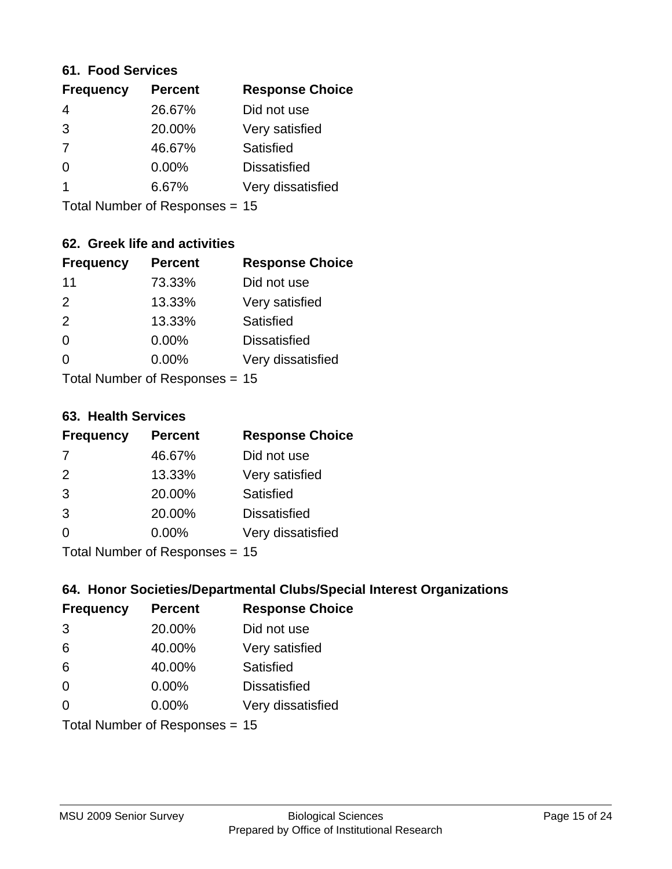#### **61. Food Services**

| <b>Response Choice</b> |
|------------------------|
|                        |
|                        |
|                        |
|                        |
| Very dissatisfied      |
|                        |

Total Number of Responses = 15

### **62. Greek life and activities**

| <b>Frequency</b>               | <b>Percent</b> | <b>Response Choice</b> |
|--------------------------------|----------------|------------------------|
| 11                             | 73.33%         | Did not use            |
| 2                              | 13.33%         | Very satisfied         |
| 2                              | 13.33%         | Satisfied              |
| $\Omega$                       | 0.00%          | <b>Dissatisfied</b>    |
| 0                              | $0.00\%$       | Very dissatisfied      |
| Total Number of Responses = 15 |                |                        |

**63. Health Services**

| <b>Frequency</b> | <b>Percent</b>             | <b>Response Choice</b> |
|------------------|----------------------------|------------------------|
| 7                | 46.67%                     | Did not use            |
| 2                | 13.33%                     | Very satisfied         |
| 3                | 20.00%                     | <b>Satisfied</b>       |
| 3                | 20.00%                     | <b>Dissatisfied</b>    |
| $\Omega$         | 0.00%                      | Very dissatisfied      |
|                  | Total Number of Deepersoon |                        |

Total Number of Responses = 15

### **64. Honor Societies/Departmental Clubs/Special Interest Organizations**

| <b>Frequency</b> | <b>Percent</b>                 | <b>Response Choice</b> |
|------------------|--------------------------------|------------------------|
| 3                | 20.00%                         | Did not use            |
| 6                | 40.00%                         | Very satisfied         |
| 6                | 40.00%                         | Satisfied              |
| $\Omega$         | $0.00\%$                       | <b>Dissatisfied</b>    |
| $\Omega$         | 0.00%                          | Very dissatisfied      |
|                  | Total Number of Responses = 15 |                        |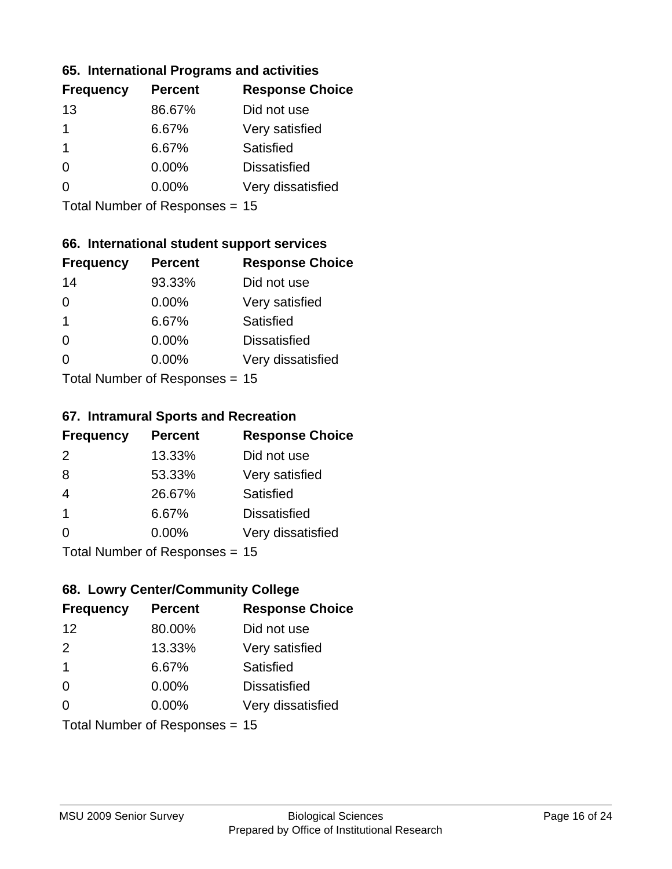#### **65. International Programs and activities**

| <b>Frequency</b> | <b>Percent</b> | <b>Response Choice</b> |
|------------------|----------------|------------------------|
| 13               | 86.67%         | Did not use            |
|                  | 6.67%          | Very satisfied         |
|                  | 6.67%          | Satisfied              |
| 0                | $0.00\%$       | <b>Dissatisfied</b>    |
|                  | $0.00\%$       | Very dissatisfied      |
|                  |                |                        |

Total Number of Responses = 15

### **66. International student support services**

| <b>Frequency</b>          | <b>Percent</b> | <b>Response Choice</b> |
|---------------------------|----------------|------------------------|
| 14                        | 93.33%         | Did not use            |
| 0                         | 0.00%          | Very satisfied         |
| 1                         | 6.67%          | Satisfied              |
| 0                         | 0.00%          | <b>Dissatisfied</b>    |
| ∩                         | 0.00%          | Very dissatisfied      |
| Total Number of Desponses |                |                        |

Total Number of Responses = 15

#### **67. Intramural Sports and Recreation**

| <b>Frequency</b> | <b>Percent</b>                  | <b>Response Choice</b> |
|------------------|---------------------------------|------------------------|
| 2                | 13.33%                          | Did not use            |
| 8                | 53.33%                          | Very satisfied         |
| $\overline{4}$   | 26.67%                          | Satisfied              |
| -1               | 6.67%                           | <b>Dissatisfied</b>    |
| $\Omega$         | 0.00%                           | Very dissatisfied      |
|                  | $Total Number of Denonose = 45$ |                        |

I otal Number of Responses = 15

### **68. Lowry Center/Community College**

| <b>Frequency</b>        | <b>Percent</b>                 | <b>Response Choice</b> |
|-------------------------|--------------------------------|------------------------|
| 12                      | 80.00%                         | Did not use            |
| 2                       | 13.33%                         | Very satisfied         |
| $\overline{\mathbf{1}}$ | 6.67%                          | Satisfied              |
| $\Omega$                | $0.00\%$                       | <b>Dissatisfied</b>    |
| $\Omega$                | 0.00%                          | Very dissatisfied      |
|                         | Total Number of Responses = 15 |                        |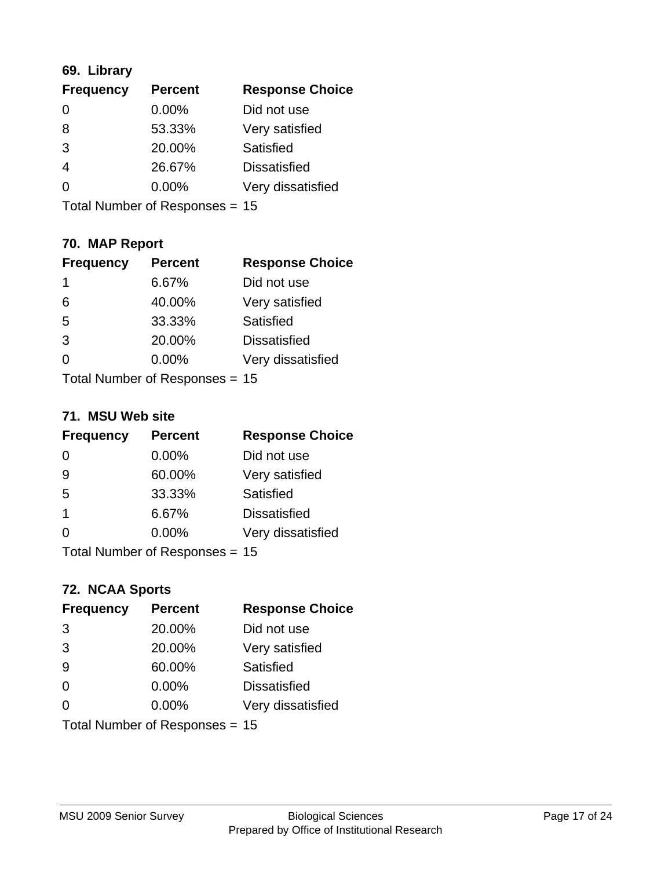### **69. Library**

| <b>Frequency</b> | <b>Percent</b> | <b>Response Choice</b> |
|------------------|----------------|------------------------|
| $\Omega$         | 0.00%          | Did not use            |
| 8                | 53.33%         | Very satisfied         |
| 3                | 20.00%         | Satisfied              |
| 4                | 26.67%         | <b>Dissatisfied</b>    |
| 0                | $0.00\%$       | Very dissatisfied      |
|                  |                |                        |

Total Number of Responses = 15

### **70. MAP Report**

| <b>Frequency</b>               | <b>Percent</b> | <b>Response Choice</b> |
|--------------------------------|----------------|------------------------|
| 1                              | 6.67%          | Did not use            |
| 6                              | 40.00%         | Very satisfied         |
| 5                              | 33.33%         | Satisfied              |
| 3                              | 20.00%         | <b>Dissatisfied</b>    |
| 0                              | $0.00\%$       | Very dissatisfied      |
| Total Number of Responses = 15 |                |                        |

#### **71. MSU Web site**

| <b>Frequency</b> | <b>Percent</b>                   | <b>Response Choice</b> |
|------------------|----------------------------------|------------------------|
| $\Omega$         | 0.00%                            | Did not use            |
| 9                | 60.00%                           | Very satisfied         |
| 5                | 33.33%                           | Satisfied              |
| -1               | 6.67%                            | <b>Dissatisfied</b>    |
| ∩                | 0.00%                            | Very dissatisfied      |
|                  | Total Number of Responses $= 15$ |                        |

### **72. NCAA Sports**

| <b>Frequency</b>               | <b>Percent</b> | <b>Response Choice</b> |
|--------------------------------|----------------|------------------------|
| 3                              | 20.00%         | Did not use            |
| 3                              | 20.00%         | Very satisfied         |
| 9                              | 60.00%         | Satisfied              |
| $\Omega$                       | 0.00%          | <b>Dissatisfied</b>    |
| $\Omega$                       | 0.00%          | Very dissatisfied      |
| Total Number of Responses = 15 |                |                        |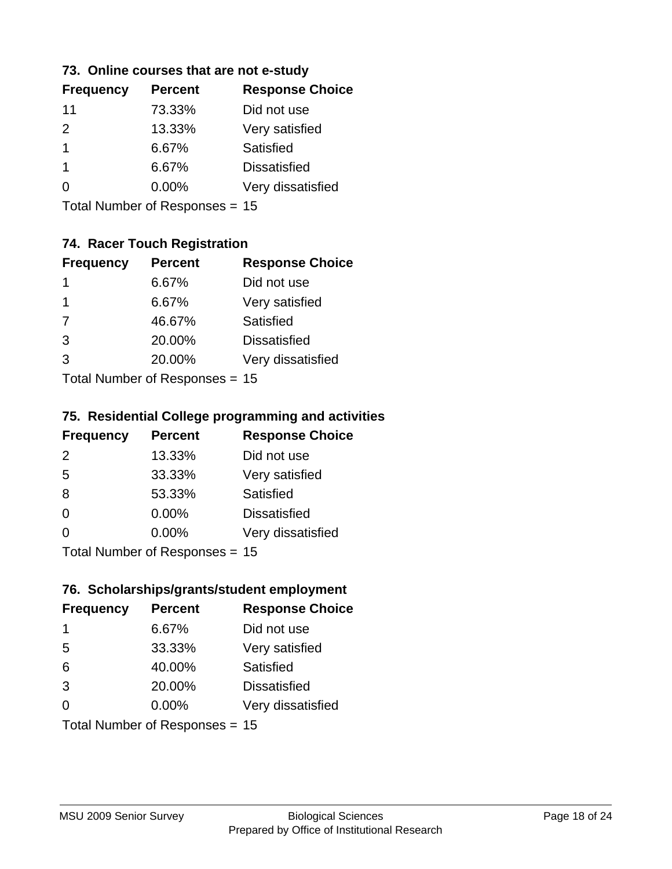#### **73. Online courses that are not e-study**

| <b>Percent</b> | <b>Response Choice</b> |
|----------------|------------------------|
| 73.33%         | Did not use            |
| 13.33%         | Very satisfied         |
| 6.67%          | Satisfied              |
| 6.67%          | <b>Dissatisfied</b>    |
| $0.00\%$       | Very dissatisfied      |
|                |                        |

Total Number of Responses = 15

### **74. Racer Touch Registration**

| <b>Frequency</b> | <b>Percent</b>             | <b>Response Choice</b> |
|------------------|----------------------------|------------------------|
| 1                | 6.67%                      | Did not use            |
| 1                | 6.67%                      | Very satisfied         |
| 7                | 46.67%                     | <b>Satisfied</b>       |
| 3                | 20.00%                     | <b>Dissatisfied</b>    |
| 3                | 20.00%                     | Very dissatisfied      |
|                  | Total Number of Deepersoon |                        |

Total Number of Responses = 15

#### **75. Residential College programming and activities**

| <b>Frequency</b> | <b>Percent</b>                            | <b>Response Choice</b> |
|------------------|-------------------------------------------|------------------------|
| 2                | 13.33%                                    | Did not use            |
| 5                | 33.33%                                    | Very satisfied         |
| 8                | 53.33%                                    | Satisfied              |
| $\Omega$         | 0.00%                                     | <b>Dissatisfied</b>    |
| $\Omega$         | 0.00%                                     | Very dissatisfied      |
|                  | $Total Number of Doepopogog -\frac{1}{2}$ |                        |

Total Number of Responses = 15

### **76. Scholarships/grants/student employment**

| <b>Frequency</b> | <b>Percent</b>                 | <b>Response Choice</b> |
|------------------|--------------------------------|------------------------|
| $\mathbf 1$      | 6.67%                          | Did not use            |
| 5                | 33.33%                         | Very satisfied         |
| 6                | 40.00%                         | Satisfied              |
| 3                | 20.00%                         | <b>Dissatisfied</b>    |
| $\Omega$         | $0.00\%$                       | Very dissatisfied      |
|                  | Total Number of Responses = 15 |                        |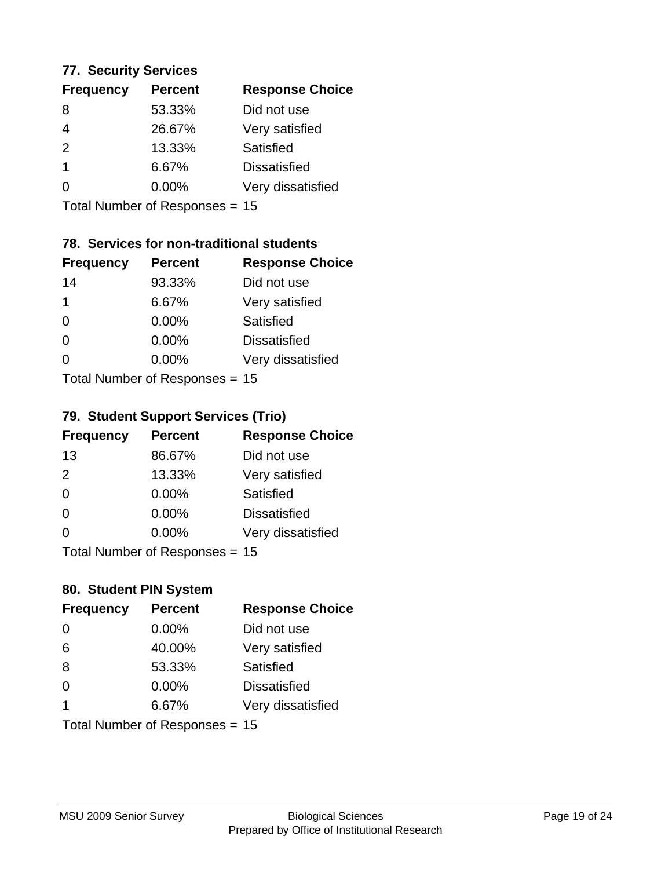#### **77. Security Services**

| <b>Percent</b> | <b>Response Choice</b> |
|----------------|------------------------|
| 53.33%         | Did not use            |
| 26.67%         | Very satisfied         |
| 13.33%         | Satisfied              |
| 6.67%          | <b>Dissatisfied</b>    |
| $0.00\%$       | Very dissatisfied      |
|                |                        |

Total Number of Responses = 15

### **78. Services for non-traditional students**

| <b>Frequency</b>          | <b>Percent</b> | <b>Response Choice</b> |
|---------------------------|----------------|------------------------|
| 14                        | 93.33%         | Did not use            |
| 1                         | 6.67%          | Very satisfied         |
| $\Omega$                  | $0.00\%$       | <b>Satisfied</b>       |
| $\Omega$                  | 0.00%          | <b>Dissatisfied</b>    |
| 0                         | 0.00%          | Very dissatisfied      |
| Total Number of Desponses |                |                        |

Total Number of Responses = 15

#### **79. Student Support Services (Trio)**

| <b>Frequency</b>          | <b>Percent</b> | <b>Response Choice</b> |
|---------------------------|----------------|------------------------|
| 13                        | 86.67%         | Did not use            |
| 2                         | 13.33%         | Very satisfied         |
| $\Omega$                  | $0.00\%$       | Satisfied              |
| $\Omega$                  | $0.00\%$       | <b>Dissatisfied</b>    |
| 0                         | 0.00%          | Very dissatisfied      |
| Total Number of Desponses |                |                        |

Total Number of Responses = 15

### **80. Student PIN System**

| <b>Frequency</b>        | <b>Percent</b>                 | <b>Response Choice</b> |
|-------------------------|--------------------------------|------------------------|
| 0                       | 0.00%                          | Did not use            |
| 6                       | 40.00%                         | Very satisfied         |
| 8                       | 53.33%                         | Satisfied              |
| $\Omega$                | 0.00%                          | <b>Dissatisfied</b>    |
| $\overline{\mathbf{1}}$ | 6.67%                          | Very dissatisfied      |
|                         | Total Number of Responses = 15 |                        |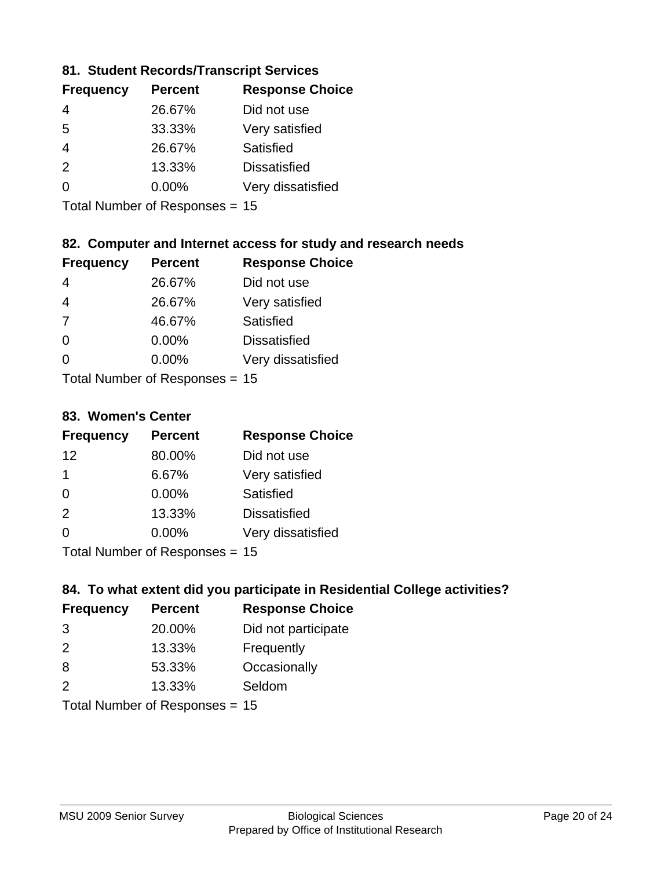### **81. Student Records/Transcript Services**

| <b>Frequency</b> | <b>Percent</b> | <b>Response Choice</b> |
|------------------|----------------|------------------------|
| 4                | 26.67%         | Did not use            |
| 5                | 33.33%         | Very satisfied         |
| 4                | 26.67%         | Satisfied              |
| $\mathcal{P}$    | 13.33%         | <b>Dissatisfied</b>    |
| ∩                | $0.00\%$       | Very dissatisfied      |
|                  |                |                        |

Total Number of Responses = 15

### **82. Computer and Internet access for study and research needs**

| <b>Frequency</b> | <b>Percent</b>             | <b>Response Choice</b> |
|------------------|----------------------------|------------------------|
| 4                | 26.67%                     | Did not use            |
| 4                | 26.67%                     | Very satisfied         |
| 7                | 46.67%                     | Satisfied              |
| $\Omega$         | 0.00%                      | <b>Dissatisfied</b>    |
| $\Omega$         | 0.00%                      | Very dissatisfied      |
|                  | Tatal Number of Desperance |                        |

Total Number of Responses = 15

#### **83. Women's Center**

| <b>Frequency</b> | <b>Percent</b>            | <b>Response Choice</b> |
|------------------|---------------------------|------------------------|
| 12               | 80.00%                    | Did not use            |
| $\mathbf 1$      | 6.67%                     | Very satisfied         |
| $\Omega$         | 0.00%                     | Satisfied              |
| 2                | 13.33%                    | <b>Dissatisfied</b>    |
| $\Omega$         | 0.00%                     | Very dissatisfied      |
|                  | Total Number of Deepersee |                        |

Total Number of Responses = 15

### **84. To what extent did you participate in Residential College activities?**

| <b>Frequency</b> | <b>Percent</b> | <b>Response Choice</b> |
|------------------|----------------|------------------------|
| 3                | 20.00%         | Did not participate    |
| $\mathcal{P}$    | 13.33%         | Frequently             |
| 8                | 53.33%         | Occasionally           |
| $\mathcal{P}$    | 13.33%         | Seldom                 |
|                  |                |                        |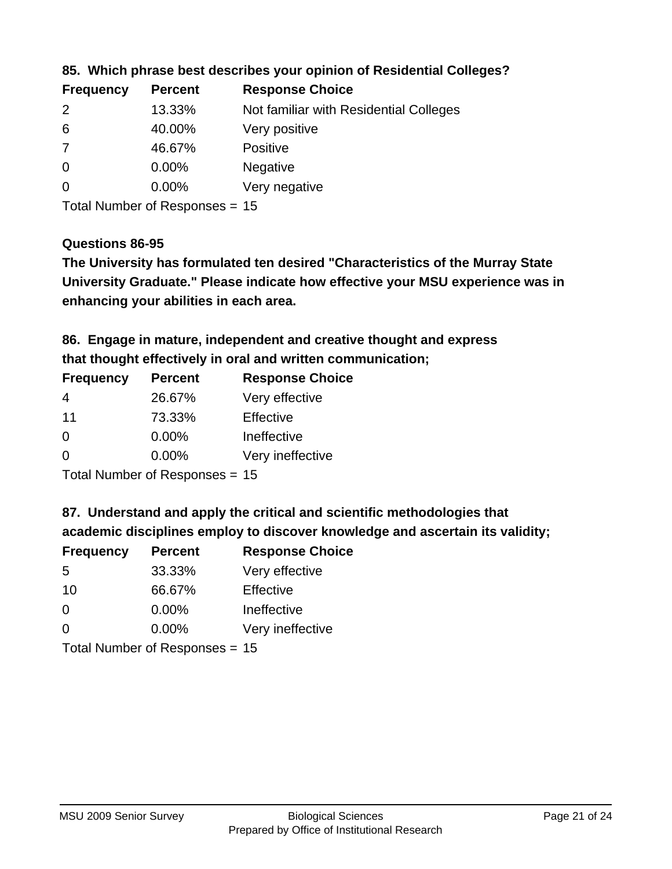| <b>Frequency</b> | <b>Percent</b> | <b>Response Choice</b>                 |
|------------------|----------------|----------------------------------------|
| 2                | 13.33%         | Not familiar with Residential Colleges |
| 6                | 40.00%         | Very positive                          |
| 7                | 46.67%         | <b>Positive</b>                        |
| $\overline{0}$   | $0.00\%$       | <b>Negative</b>                        |
| $\overline{0}$   | $0.00\%$       | Very negative                          |
|                  |                |                                        |

### **85. Which phrase best describes your opinion of Residential Colleges?**

Total Number of Responses = 15

#### **Questions 86-95**

**University Graduate." Please indicate how effective your MSU experience was in The University has formulated ten desired "Characteristics of the Murray State enhancing your abilities in each area.**

**86. Engage in mature, independent and creative thought and express that thought effectively in oral and written communication;**

| <b>Percent</b> | <b>Response Choice</b> |
|----------------|------------------------|
| 26.67%         | Very effective         |
| 73.33%         | Effective              |
| 0.00%          | Ineffective            |
| $0.00\%$       | Very ineffective       |
|                |                        |

Total Number of Responses = 15

**87. Understand and apply the critical and scientific methodologies that** 

**academic disciplines employ to discover knowledge and ascertain its validity;**

| <b>Frequency</b>           | <b>Percent</b> | <b>Response Choice</b> |
|----------------------------|----------------|------------------------|
| 5                          | 33.33%         | Very effective         |
| 10                         | 66.67%         | Effective              |
| $\Omega$                   | 0.00%          | Ineffective            |
| $\Omega$                   | 0.00%          | Very ineffective       |
| Tatal Manakan af Dagmanage |                |                        |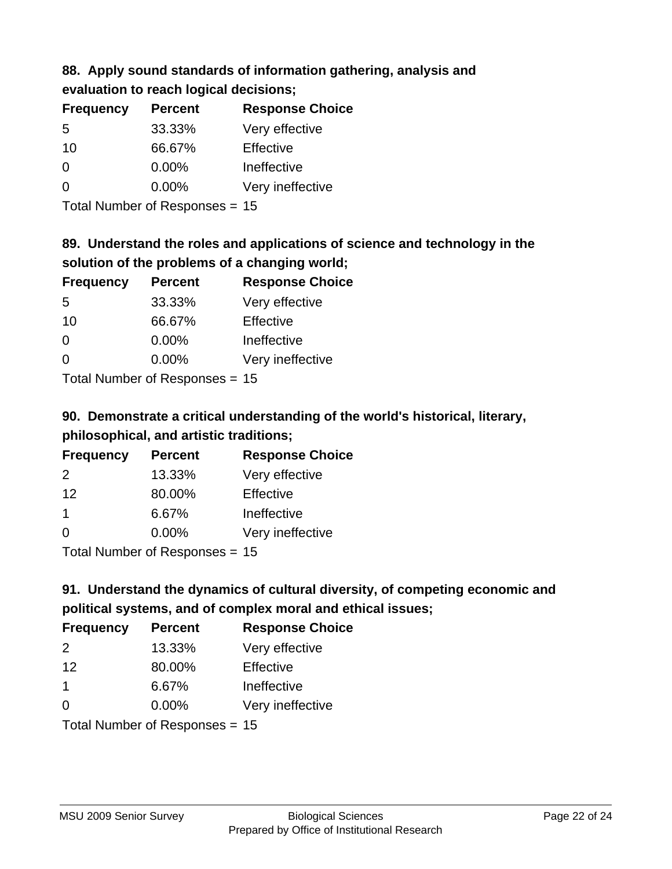### **88. Apply sound standards of information gathering, analysis and evaluation to reach logical decisions;**

| <b>Frequency</b> | <b>Percent</b> | <b>Response Choice</b> |
|------------------|----------------|------------------------|
| 5                | 33.33%         | Very effective         |
| 10               | 66.67%         | Effective              |
| $\Omega$         | 0.00%          | Ineffective            |
| $\Omega$         | 0.00%          | Very ineffective       |
|                  |                |                        |

Total Number of Responses = 15

### **89. Understand the roles and applications of science and technology in the solution of the problems of a changing world;**

| <b>Frequency</b> | <b>Percent</b>               | <b>Response Choice</b> |
|------------------|------------------------------|------------------------|
| 5                | 33.33%                       | Very effective         |
| 10               | 66.67%                       | Effective              |
| $\Omega$         | 0.00%                        | Ineffective            |
| $\Omega$         | 0.00%                        | Very ineffective       |
|                  | $\tau$ . The state of $\sim$ |                        |

Total Number of Responses = 15

# **90. Demonstrate a critical understanding of the world's historical, literary, philosophical, and artistic traditions;**

| <b>Frequency</b> | <b>Percent</b>                                                                                                  | <b>Response Choice</b> |
|------------------|-----------------------------------------------------------------------------------------------------------------|------------------------|
| $\mathcal{P}$    | 13.33%                                                                                                          | Very effective         |
| 12               | 80.00%                                                                                                          | Effective              |
| $\mathbf 1$      | 6.67%                                                                                                           | Ineffective            |
| $\Omega$         | 0.00%                                                                                                           | Very ineffective       |
|                  | The Little and the Little Communication of the Communication of the Communication of the Communication of the U |                        |

Total Number of Responses = 15

# **91. Understand the dynamics of cultural diversity, of competing economic and political systems, and of complex moral and ethical issues;**

| <b>Frequency</b>               | <b>Percent</b> | <b>Response Choice</b> |
|--------------------------------|----------------|------------------------|
| 2                              | 13.33%         | Very effective         |
| 12                             | 80.00%         | Effective              |
| $\overline{1}$                 | 6.67%          | Ineffective            |
| $\Omega$                       | 0.00%          | Very ineffective       |
| Total Number of Responses = 15 |                |                        |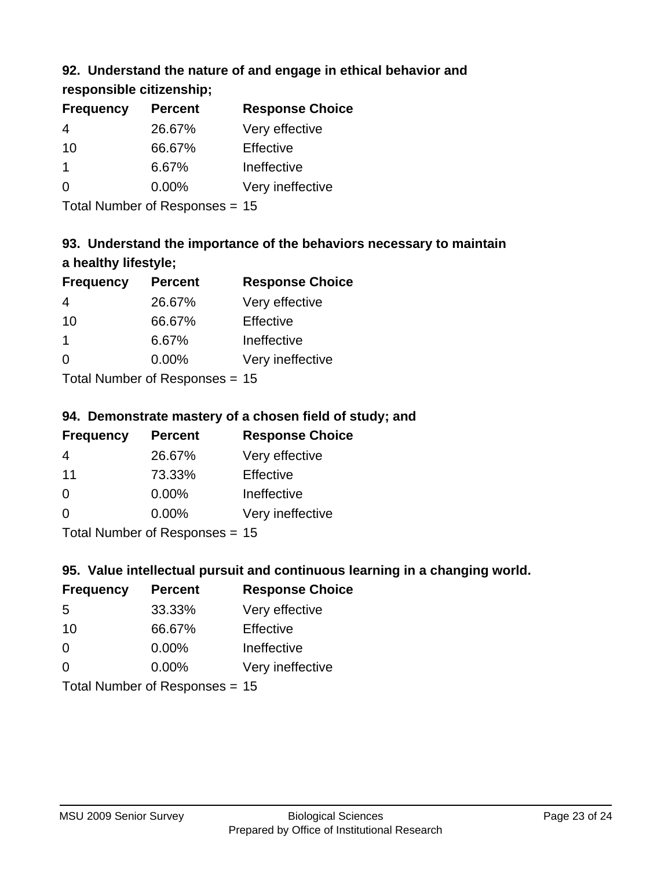### **92. Understand the nature of and engage in ethical behavior and**

**responsible citizenship;**

| <b>Frequency</b> | <b>Percent</b> | <b>Response Choice</b> |
|------------------|----------------|------------------------|
| 4                | 26.67%         | Very effective         |
| 10               | 66.67%         | Effective              |
|                  | 6.67%          | Ineffective            |
| $\Omega$         | $0.00\%$       | Very ineffective       |
|                  |                |                        |

Total Number of Responses = 15

# **93. Understand the importance of the behaviors necessary to maintain a healthy lifestyle;**

| <b>Frequency</b>            | <b>Percent</b> | <b>Response Choice</b> |
|-----------------------------|----------------|------------------------|
| 4                           | 26.67%         | Very effective         |
| 10                          | 66.67%         | Effective              |
| 1                           | 6.67%          | Ineffective            |
| $\Omega$                    | 0.00%          | Very ineffective       |
| Tatal Massakan af Dagmannar |                |                        |

Total Number of Responses = 15

### **94. Demonstrate mastery of a chosen field of study; and**

| <b>Frequency</b> | <b>Percent</b> | <b>Response Choice</b> |
|------------------|----------------|------------------------|
| 4                | 26.67%         | Very effective         |
| 11               | 73.33%         | Effective              |
| $\Omega$         | 0.00%          | Ineffective            |
| ∩                | 0.00%          | Very ineffective       |
|                  |                |                        |

Total Number of Responses = 15

### **95. Value intellectual pursuit and continuous learning in a changing world.**

| <b>Frequency</b>            | <b>Percent</b> | <b>Response Choice</b> |
|-----------------------------|----------------|------------------------|
| -5                          | 33.33%         | Very effective         |
| 10                          | 66.67%         | Effective              |
| $\Omega$                    | 0.00%          | Ineffective            |
| $\Omega$                    | 0.00%          | Very ineffective       |
| Tatal Massakan af Dannannan |                |                        |